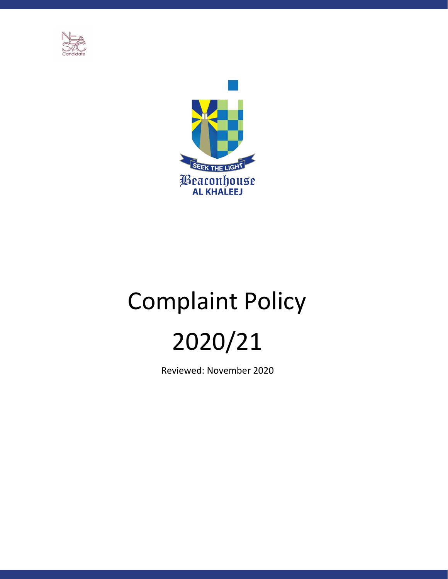



# Complaint Policy 2020/21

Reviewed: November 2020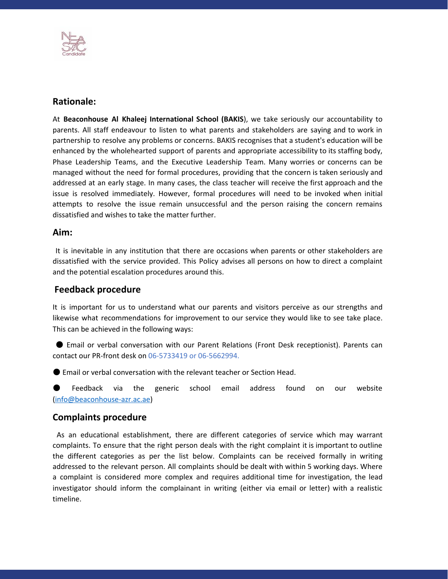

# **Rationale:**

At **Beaconhouse Al Khaleej International School (BAKIS**), we take seriously our accountability to parents. All staff endeavour to listen to what parents and stakeholders are saying and to work in partnership to resolve any problems or concerns. BAKIS recognises that a student's education will be enhanced by the wholehearted support of parents and appropriate accessibility to its staffing body, Phase Leadership Teams, and the Executive Leadership Team. Many worries or concerns can be managed without the need for formal procedures, providing that the concern is taken seriously and addressed at an early stage. In many cases, the class teacher will receive the first approach and the issue is resolved immediately. However, formal procedures will need to be invoked when initial attempts to resolve the issue remain unsuccessful and the person raising the concern remains dissatisfied and wishes to take the matter further.

# **Aim:**

It is inevitable in any institution that there are occasions when parents or other stakeholders are dissatisfied with the service provided. This Policy advises all persons on how to direct a complaint and the potential escalation procedures around this.

# **Feedback procedure**

It is important for us to understand what our parents and visitors perceive as our strengths and likewise what recommendations for improvement to our service they would like to see take place. This can be achieved in the following ways:

● Email or verbal conversation with our Parent Relations (Front Desk receptionist). Parents can contact our PR-front desk on 06-5733419 or 06-5662994.

● Email or verbal conversation with the relevant teacher or Section Head.

Feedback via the generic school email address found on our website (info@beaconhouse-azr.ac.ae)

# **Complaints procedure**

As an educational establishment, there are different categories of service which may warrant complaints. To ensure that the right person deals with the right complaint it is important to outline the different categories as per the list below. Complaints can be received formally in writing addressed to the relevant person. All complaints should be dealt with within 5 working days. Where a complaint is considered more complex and requires additional time for investigation, the lead investigator should inform the complainant in writing (either via email or letter) with a realistic timeline.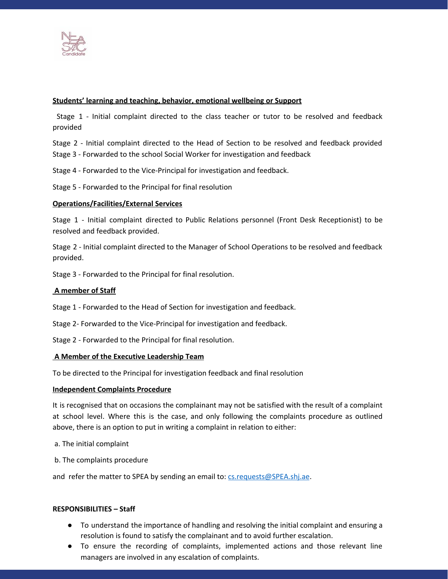

## **Students' learning and teaching, behavior, emotional wellbeing or Support**

Stage 1 - Initial complaint directed to the class teacher or tutor to be resolved and feedback provided

Stage 2 - Initial complaint directed to the Head of Section to be resolved and feedback provided Stage 3 - Forwarded to the school Social Worker for investigation and feedback

Stage 4 - Forwarded to the Vice-Principal for investigation and feedback.

Stage 5 - Forwarded to the Principal for final resolution

### **Operations/Facilities/External Services**

Stage 1 - Initial complaint directed to Public Relations personnel (Front Desk Receptionist) to be resolved and feedback provided.

Stage 2 - Initial complaint directed to the Manager of School Operations to be resolved and feedback provided.

Stage 3 - Forwarded to the Principal for final resolution.

#### **A member of Staff**

Stage 1 - Forwarded to the Head of Section for investigation and feedback.

Stage 2- Forwarded to the Vice-Principal for investigation and feedback.

Stage 2 - Forwarded to the Principal for final resolution.

#### **A Member of the Executive Leadership Team**

To be directed to the Principal for investigation feedback and final resolution

#### **Independent Complaints Procedure**

It is recognised that on occasions the complainant may not be satisfied with the result of a complaint at school level. Where this is the case, and only following the complaints procedure as outlined above, there is an option to put in writing a complaint in relation to either:

a. The initial complaint

b. The complaints procedure

and refer the matter to SPEA by sending an email to: cs.requests@SPEA.shj.ae.

#### **RESPONSIBILITIES – Staff**

- To understand the importance of handling and resolving the initial complaint and ensuring a resolution is found to satisfy the complainant and to avoid further escalation.
- To ensure the recording of complaints, implemented actions and those relevant line managers are involved in any escalation of complaints.